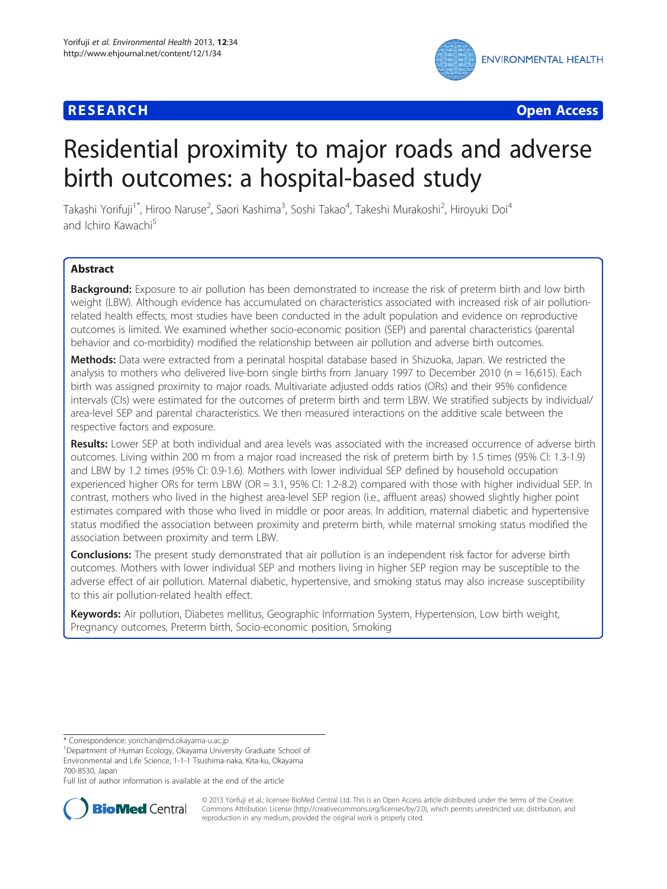# **RESEARCH CHEAR CHEAR CHEAR CHEAR CHEAR CHEAR CHEAR CHEAR CHEAR CHEAR CHEAR CHEAR CHEAR CHEAR CHEAR CHEAR CHEAR**



# Residential proximity to major roads and adverse birth outcomes: a hospital-based study

Takashi Yorifuji<sup>1\*</sup>, Hiroo Naruse<sup>2</sup>, Saori Kashima<sup>3</sup>, Soshi Takao<sup>4</sup>, Takeshi Murakoshi<sup>2</sup>, Hiroyuki Doi<sup>4</sup> and Ichiro Kawachi<sup>5</sup>

# **Abstract**

Background: Exposure to air pollution has been demonstrated to increase the risk of preterm birth and low birth weight (LBW). Although evidence has accumulated on characteristics associated with increased risk of air pollutionrelated health effects, most studies have been conducted in the adult population and evidence on reproductive outcomes is limited. We examined whether socio-economic position (SEP) and parental characteristics (parental behavior and co-morbidity) modified the relationship between air pollution and adverse birth outcomes.

Methods: Data were extracted from a perinatal hospital database based in Shizuoka, Japan. We restricted the analysis to mothers who delivered live-born single births from January 1997 to December 2010 ( $n = 16,615$ ). Each birth was assigned proximity to major roads. Multivariate adjusted odds ratios (ORs) and their 95% confidence intervals (CIs) were estimated for the outcomes of preterm birth and term LBW. We stratified subjects by individual/ area-level SEP and parental characteristics. We then measured interactions on the additive scale between the respective factors and exposure.

Results: Lower SEP at both individual and area levels was associated with the increased occurrence of adverse birth outcomes. Living within 200 m from a major road increased the risk of preterm birth by 1.5 times (95% CI: 1.3-1.9) and LBW by 1.2 times (95% CI: 0.9-1.6). Mothers with lower individual SEP defined by household occupation experienced higher ORs for term LBW (OR = 3.1, 95% CI: 1.2-8.2) compared with those with higher individual SEP. In contrast, mothers who lived in the highest area-level SEP region (i.e., affluent areas) showed slightly higher point estimates compared with those who lived in middle or poor areas. In addition, maternal diabetic and hypertensive status modified the association between proximity and preterm birth, while maternal smoking status modified the association between proximity and term LBW.

Conclusions: The present study demonstrated that air pollution is an independent risk factor for adverse birth outcomes. Mothers with lower individual SEP and mothers living in higher SEP region may be susceptible to the adverse effect of air pollution. Maternal diabetic, hypertensive, and smoking status may also increase susceptibility to this air pollution-related health effect.

Keywords: Air pollution, Diabetes mellitus, Geographic Information System, Hypertension, Low birth weight, Pregnancy outcomes, Preterm birth, Socio-economic position, Smoking

\* Correspondence: [yorichan@md.okayama-u.ac.jp](mailto:yorichan@md.okayama-u.ac.jp) <sup>1</sup>

Full list of author information is available at the end of the article



© 2013 Yorifuji et al.; licensee BioMed Central Ltd. This is an Open Access article distributed under the terms of the Creative Commons Attribution License [\(http://creativecommons.org/licenses/by/2.0\)](http://creativecommons.org/licenses/by/2.0), which permits unrestricted use, distribution, and reproduction in any medium, provided the original work is properly cited.

Department of Human Ecology, Okayama University Graduate School of Environmental and Life Science, 1-1-1 Tsushima-naka, Kita-ku, Okayama 700-8530, Japan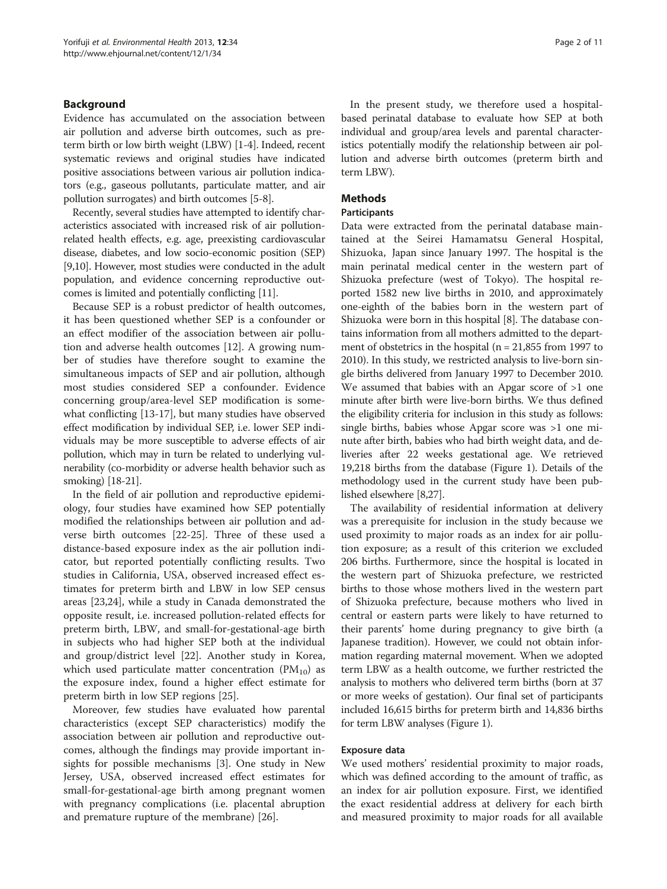# Background

Evidence has accumulated on the association between air pollution and adverse birth outcomes, such as preterm birth or low birth weight (LBW) [[1-4\]](#page-9-0). Indeed, recent systematic reviews and original studies have indicated positive associations between various air pollution indicators (e.g., gaseous pollutants, particulate matter, and air pollution surrogates) and birth outcomes [\[5](#page-9-0)-[8](#page-9-0)].

Recently, several studies have attempted to identify characteristics associated with increased risk of air pollutionrelated health effects, e.g. age, preexisting cardiovascular disease, diabetes, and low socio-economic position (SEP) [[9,10](#page-9-0)]. However, most studies were conducted in the adult population, and evidence concerning reproductive outcomes is limited and potentially conflicting [[11](#page-9-0)].

Because SEP is a robust predictor of health outcomes, it has been questioned whether SEP is a confounder or an effect modifier of the association between air pollution and adverse health outcomes [[12\]](#page-10-0). A growing number of studies have therefore sought to examine the simultaneous impacts of SEP and air pollution, although most studies considered SEP a confounder. Evidence concerning group/area-level SEP modification is somewhat conflicting [\[13](#page-10-0)-[17\]](#page-10-0), but many studies have observed effect modification by individual SEP, i.e. lower SEP individuals may be more susceptible to adverse effects of air pollution, which may in turn be related to underlying vulnerability (co-morbidity or adverse health behavior such as smoking) [\[18-21](#page-10-0)].

In the field of air pollution and reproductive epidemiology, four studies have examined how SEP potentially modified the relationships between air pollution and adverse birth outcomes [\[22-25](#page-10-0)]. Three of these used a distance-based exposure index as the air pollution indicator, but reported potentially conflicting results. Two studies in California, USA, observed increased effect estimates for preterm birth and LBW in low SEP census areas [\[23,24\]](#page-10-0), while a study in Canada demonstrated the opposite result, i.e. increased pollution-related effects for preterm birth, LBW, and small-for-gestational-age birth in subjects who had higher SEP both at the individual and group/district level [[22\]](#page-10-0). Another study in Korea, which used particulate matter concentration  $(PM_{10})$  as the exposure index, found a higher effect estimate for preterm birth in low SEP regions [\[25](#page-10-0)].

Moreover, few studies have evaluated how parental characteristics (except SEP characteristics) modify the association between air pollution and reproductive outcomes, although the findings may provide important insights for possible mechanisms [\[3](#page-9-0)]. One study in New Jersey, USA, observed increased effect estimates for small-for-gestational-age birth among pregnant women with pregnancy complications (i.e. placental abruption and premature rupture of the membrane) [[26](#page-10-0)].

In the present study, we therefore used a hospitalbased perinatal database to evaluate how SEP at both individual and group/area levels and parental characteristics potentially modify the relationship between air pollution and adverse birth outcomes (preterm birth and term LBW).

# Methods

#### Participants

Data were extracted from the perinatal database maintained at the Seirei Hamamatsu General Hospital, Shizuoka, Japan since January 1997. The hospital is the main perinatal medical center in the western part of Shizuoka prefecture (west of Tokyo). The hospital reported 1582 new live births in 2010, and approximately one-eighth of the babies born in the western part of Shizuoka were born in this hospital [\[8](#page-9-0)]. The database contains information from all mothers admitted to the department of obstetrics in the hospital ( $n = 21,855$  from 1997 to 2010). In this study, we restricted analysis to live-born single births delivered from January 1997 to December 2010. We assumed that babies with an Apgar score of  $>1$  one minute after birth were live-born births. We thus defined the eligibility criteria for inclusion in this study as follows: single births, babies whose Apgar score was >1 one minute after birth, babies who had birth weight data, and deliveries after 22 weeks gestational age. We retrieved 19,218 births from the database (Figure [1\)](#page-2-0). Details of the methodology used in the current study have been published elsewhere [\[8](#page-9-0)[,27\]](#page-10-0).

The availability of residential information at delivery was a prerequisite for inclusion in the study because we used proximity to major roads as an index for air pollution exposure; as a result of this criterion we excluded 206 births. Furthermore, since the hospital is located in the western part of Shizuoka prefecture, we restricted births to those whose mothers lived in the western part of Shizuoka prefecture, because mothers who lived in central or eastern parts were likely to have returned to their parents' home during pregnancy to give birth (a Japanese tradition). However, we could not obtain information regarding maternal movement. When we adopted term LBW as a health outcome, we further restricted the analysis to mothers who delivered term births (born at 37 or more weeks of gestation). Our final set of participants included 16,615 births for preterm birth and 14,836 births for term LBW analyses (Figure [1](#page-2-0)).

# Exposure data

We used mothers' residential proximity to major roads, which was defined according to the amount of traffic, as an index for air pollution exposure. First, we identified the exact residential address at delivery for each birth and measured proximity to major roads for all available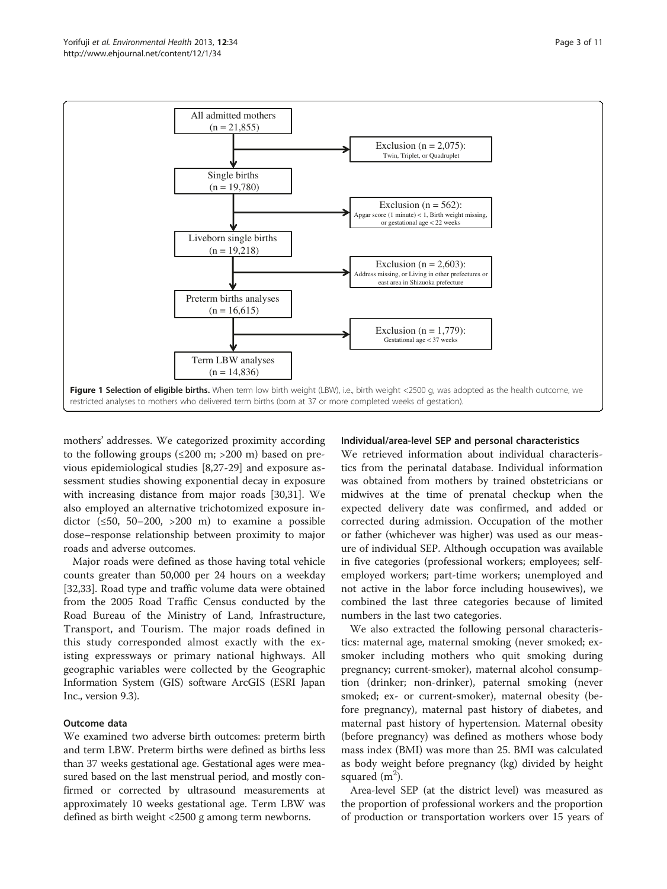<span id="page-2-0"></span>

mothers' addresses. We categorized proximity according to the following groups (≤200 m; >200 m) based on previous epidemiological studies [\[8](#page-9-0)[,27](#page-10-0)-[29\]](#page-10-0) and exposure assessment studies showing exponential decay in exposure with increasing distance from major roads [[30,31\]](#page-10-0). We also employed an alternative trichotomized exposure indictor ( $\leq 50$ ,  $50-200$ ,  $>200$  m) to examine a possible dose–response relationship between proximity to major roads and adverse outcomes.

Major roads were defined as those having total vehicle counts greater than 50,000 per 24 hours on a weekday [[32,33\]](#page-10-0). Road type and traffic volume data were obtained from the 2005 Road Traffic Census conducted by the Road Bureau of the Ministry of Land, Infrastructure, Transport, and Tourism. The major roads defined in this study corresponded almost exactly with the existing expressways or primary national highways. All geographic variables were collected by the Geographic Information System (GIS) software ArcGIS (ESRI Japan Inc., version 9.3).

# Outcome data

We examined two adverse birth outcomes: preterm birth and term LBW. Preterm births were defined as births less than 37 weeks gestational age. Gestational ages were measured based on the last menstrual period, and mostly confirmed or corrected by ultrasound measurements at approximately 10 weeks gestational age. Term LBW was defined as birth weight <2500 g among term newborns.

# Individual/area-level SEP and personal characteristics

We retrieved information about individual characteristics from the perinatal database. Individual information was obtained from mothers by trained obstetricians or midwives at the time of prenatal checkup when the expected delivery date was confirmed, and added or corrected during admission. Occupation of the mother or father (whichever was higher) was used as our measure of individual SEP. Although occupation was available in five categories (professional workers; employees; selfemployed workers; part-time workers; unemployed and not active in the labor force including housewives), we combined the last three categories because of limited numbers in the last two categories.

We also extracted the following personal characteristics: maternal age, maternal smoking (never smoked; exsmoker including mothers who quit smoking during pregnancy; current-smoker), maternal alcohol consumption (drinker; non-drinker), paternal smoking (never smoked; ex- or current-smoker), maternal obesity (before pregnancy), maternal past history of diabetes, and maternal past history of hypertension. Maternal obesity (before pregnancy) was defined as mothers whose body mass index (BMI) was more than 25. BMI was calculated as body weight before pregnancy (kg) divided by height squared  $(m<sup>2</sup>)$ .

Area-level SEP (at the district level) was measured as the proportion of professional workers and the proportion of production or transportation workers over 15 years of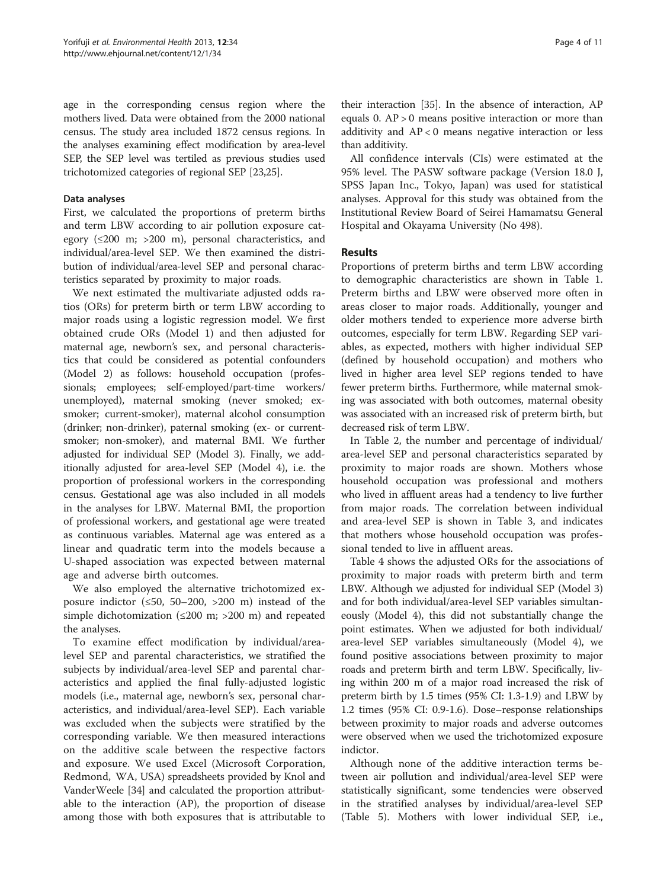age in the corresponding census region where the mothers lived. Data were obtained from the 2000 national census. The study area included 1872 census regions. In the analyses examining effect modification by area-level SEP, the SEP level was tertiled as previous studies used trichotomized categories of regional SEP [[23,25](#page-10-0)].

#### Data analyses

First, we calculated the proportions of preterm births and term LBW according to air pollution exposure category (≤200 m; >200 m), personal characteristics, and individual/area-level SEP. We then examined the distribution of individual/area-level SEP and personal characteristics separated by proximity to major roads.

We next estimated the multivariate adjusted odds ratios (ORs) for preterm birth or term LBW according to major roads using a logistic regression model. We first obtained crude ORs (Model 1) and then adjusted for maternal age, newborn's sex, and personal characteristics that could be considered as potential confounders (Model 2) as follows: household occupation (professionals; employees; self-employed/part-time workers/ unemployed), maternal smoking (never smoked; exsmoker; current-smoker), maternal alcohol consumption (drinker; non-drinker), paternal smoking (ex- or currentsmoker; non-smoker), and maternal BMI. We further adjusted for individual SEP (Model 3). Finally, we additionally adjusted for area-level SEP (Model 4), i.e. the proportion of professional workers in the corresponding census. Gestational age was also included in all models in the analyses for LBW. Maternal BMI, the proportion of professional workers, and gestational age were treated as continuous variables. Maternal age was entered as a linear and quadratic term into the models because a U-shaped association was expected between maternal age and adverse birth outcomes.

We also employed the alternative trichotomized exposure indictor  $(≤50, 50−200, >200 m)$  instead of the simple dichotomization  $(\leq 200 \text{ m}; > 200 \text{ m})$  and repeated the analyses.

To examine effect modification by individual/arealevel SEP and parental characteristics, we stratified the subjects by individual/area-level SEP and parental characteristics and applied the final fully-adjusted logistic models (i.e., maternal age, newborn's sex, personal characteristics, and individual/area-level SEP). Each variable was excluded when the subjects were stratified by the corresponding variable. We then measured interactions on the additive scale between the respective factors and exposure. We used Excel (Microsoft Corporation, Redmond, WA, USA) spreadsheets provided by Knol and VanderWeele [\[34\]](#page-10-0) and calculated the proportion attributable to the interaction (AP), the proportion of disease among those with both exposures that is attributable to their interaction [[35](#page-10-0)]. In the absence of interaction, AP equals 0. AP > 0 means positive interaction or more than additivity and AP < 0 means negative interaction or less than additivity.

All confidence intervals (CIs) were estimated at the 95% level. The PASW software package (Version 18.0 J, SPSS Japan Inc., Tokyo, Japan) was used for statistical analyses. Approval for this study was obtained from the Institutional Review Board of Seirei Hamamatsu General Hospital and Okayama University (No 498).

# Results

Proportions of preterm births and term LBW according to demographic characteristics are shown in Table [1](#page-4-0). Preterm births and LBW were observed more often in areas closer to major roads. Additionally, younger and older mothers tended to experience more adverse birth outcomes, especially for term LBW. Regarding SEP variables, as expected, mothers with higher individual SEP (defined by household occupation) and mothers who lived in higher area level SEP regions tended to have fewer preterm births. Furthermore, while maternal smoking was associated with both outcomes, maternal obesity was associated with an increased risk of preterm birth, but decreased risk of term LBW.

In Table [2](#page-6-0), the number and percentage of individual/ area-level SEP and personal characteristics separated by proximity to major roads are shown. Mothers whose household occupation was professional and mothers who lived in affluent areas had a tendency to live further from major roads. The correlation between individual and area-level SEP is shown in Table [3,](#page-7-0) and indicates that mothers whose household occupation was professional tended to live in affluent areas.

Table [4](#page-7-0) shows the adjusted ORs for the associations of proximity to major roads with preterm birth and term LBW. Although we adjusted for individual SEP (Model 3) and for both individual/area-level SEP variables simultaneously (Model 4), this did not substantially change the point estimates. When we adjusted for both individual/ area-level SEP variables simultaneously (Model 4), we found positive associations between proximity to major roads and preterm birth and term LBW. Specifically, living within 200 m of a major road increased the risk of preterm birth by 1.5 times (95% CI: 1.3-1.9) and LBW by 1.2 times (95% CI: 0.9-1.6). Dose–response relationships between proximity to major roads and adverse outcomes were observed when we used the trichotomized exposure indictor.

Although none of the additive interaction terms between air pollution and individual/area-level SEP were statistically significant, some tendencies were observed in the stratified analyses by individual/area-level SEP (Table [5](#page-8-0)). Mothers with lower individual SEP, i.e.,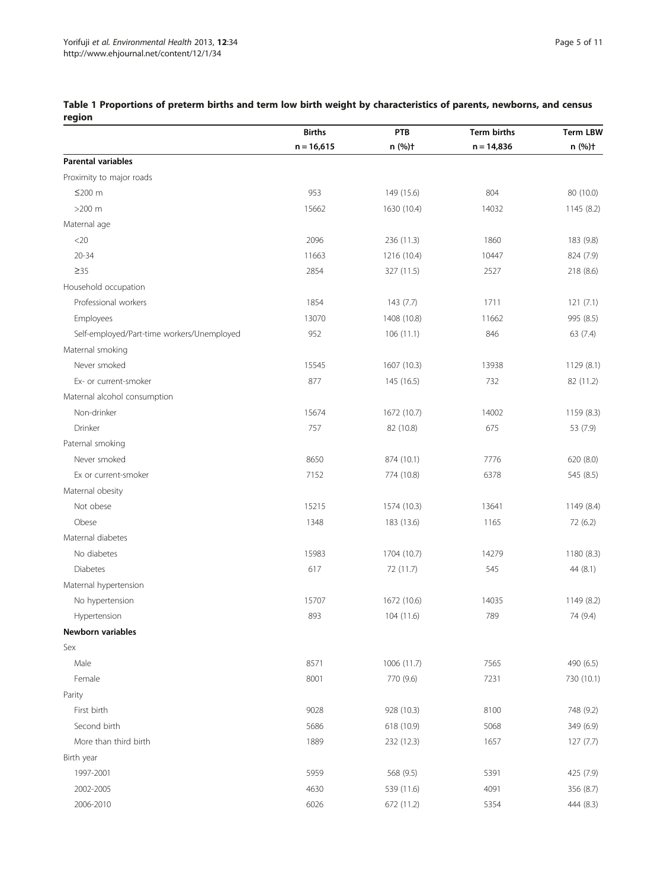<span id="page-4-0"></span>

| Table 1 Proportions of preterm births and term low birth weight by characteristics of parents, newborns, and census |  |
|---------------------------------------------------------------------------------------------------------------------|--|
| region                                                                                                              |  |

|                                            | <b>Births</b> | PTB         | <b>Term births</b> | <b>Term LBW</b> |
|--------------------------------------------|---------------|-------------|--------------------|-----------------|
|                                            | $n = 16,615$  | n (%)t      | $n = 14,836$       | n (%)t          |
| <b>Parental variables</b>                  |               |             |                    |                 |
| Proximity to major roads                   |               |             |                    |                 |
| $≤200$ m                                   | 953           | 149 (15.6)  | 804                | 80 (10.0)       |
| $>200$ m                                   | 15662         | 1630 (10.4) | 14032              | 1145 (8.2)      |
| Maternal age                               |               |             |                    |                 |
| <20                                        | 2096          | 236 (11.3)  | 1860               | 183 (9.8)       |
| $20 - 34$                                  | 11663         | 1216 (10.4) | 10447              | 824 (7.9)       |
| $\geq 35$                                  | 2854          | 327 (11.5)  | 2527               | 218 (8.6)       |
| Household occupation                       |               |             |                    |                 |
| Professional workers                       | 1854          | 143 (7.7)   | 1711               | 121(7.1)        |
| Employees                                  | 13070         | 1408 (10.8) | 11662              | 995 (8.5)       |
| Self-employed/Part-time workers/Unemployed | 952           | 106(11.1)   | 846                | 63(7.4)         |
| Maternal smoking                           |               |             |                    |                 |
| Never smoked                               | 15545         | 1607 (10.3) | 13938              | 1129(8.1)       |
| Ex- or current-smoker                      | 877           | 145 (16.5)  | 732                | 82 (11.2)       |
| Maternal alcohol consumption               |               |             |                    |                 |
| Non-drinker                                | 15674         | 1672 (10.7) | 14002              | 1159 (8.3)      |
| Drinker                                    | 757           | 82 (10.8)   | 675                | 53 (7.9)        |
| Paternal smoking                           |               |             |                    |                 |
| Never smoked                               | 8650          | 874 (10.1)  | 7776               | 620 (8.0)       |
| Ex or current-smoker                       | 7152          | 774 (10.8)  | 6378               | 545 (8.5)       |
| Maternal obesity                           |               |             |                    |                 |
| Not obese                                  | 15215         | 1574 (10.3) | 13641              | 1149 (8.4)      |
| Obese                                      | 1348          | 183 (13.6)  | 1165               | 72 (6.2)        |
| Maternal diabetes                          |               |             |                    |                 |
| No diabetes                                | 15983         | 1704 (10.7) | 14279              | 1180 (8.3)      |
| <b>Diabetes</b>                            | 617           | 72 (11.7)   | 545                | 44 (8.1)        |
| Maternal hypertension                      |               |             |                    |                 |
| No hypertension                            | 15707         | 1672 (10.6) | 14035              | 1149(8.2)       |
| Hypertension                               | 893           | 104 (11.6)  | 789                | 74 (9.4)        |
| Newborn variables                          |               |             |                    |                 |
| Sex                                        |               |             |                    |                 |
| Male                                       | 8571          | 1006 (11.7) | 7565               | 490 (6.5)       |
| Female                                     | 8001          | 770 (9.6)   | 7231               | 730 (10.1)      |
| Parity                                     |               |             |                    |                 |
| First birth                                | 9028          | 928 (10.3)  | 8100               | 748 (9.2)       |
| Second birth                               | 5686          | 618 (10.9)  | 5068               | 349 (6.9)       |
| More than third birth                      | 1889          | 232 (12.3)  | 1657               | 127(7.7)        |
| Birth year                                 |               |             |                    |                 |
| 1997-2001                                  | 5959          | 568 (9.5)   | 5391               | 425 (7.9)       |
| 2002-2005                                  | 4630          | 539 (11.6)  | 4091               | 356 (8.7)       |
| 2006-2010                                  | 6026          | 672 (11.2)  | 5354               | 444 (8.3)       |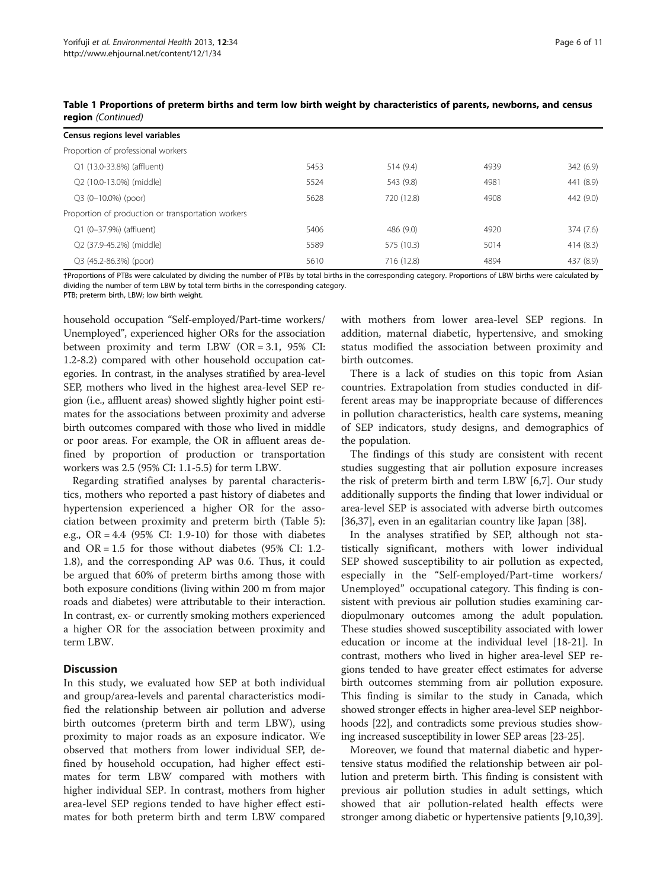| Census regions level variables                     |      |            |      |           |
|----------------------------------------------------|------|------------|------|-----------|
| Proportion of professional workers                 |      |            |      |           |
| (13.0-33.8%) (affluent)<br>O1                      | 5453 | 514 (9.4)  | 4939 | 342(6.9)  |
| Q2 (10.0-13.0%) (middle)                           | 5524 | 543 (9.8)  | 4981 | 441 (8.9) |
| $Q3(0-10.0\%)$ (poor)                              | 5628 | 720 (12.8) | 4908 | 442 (9.0) |
| Proportion of production or transportation workers |      |            |      |           |
| Q1 (0-37.9%) (affluent)                            | 5406 | 486 (9.0)  | 4920 | 374 (7.6) |
| Q2 (37.9-45.2%) (middle)                           | 5589 | 575 (10.3) | 5014 | 414(8.3)  |
| Q3 (45.2-86.3%) (poor)                             | 5610 | 716 (12.8) | 4894 | 437 (8.9) |

Table 1 Proportions of preterm births and term low birth weight by characteristics of parents, newborns, and census region (Continued)

†Proportions of PTBs were calculated by dividing the number of PTBs by total births in the corresponding category. Proportions of LBW births were calculated by dividing the number of term LBW by total term births in the corresponding category.

PTB; preterm birth, LBW; low birth weight.

household occupation "Self-employed/Part-time workers/ Unemployed", experienced higher ORs for the association between proximity and term LBW (OR = 3.1, 95% CI: 1.2-8.2) compared with other household occupation categories. In contrast, in the analyses stratified by area-level SEP, mothers who lived in the highest area-level SEP region (i.e., affluent areas) showed slightly higher point estimates for the associations between proximity and adverse birth outcomes compared with those who lived in middle or poor areas. For example, the OR in affluent areas defined by proportion of production or transportation workers was 2.5 (95% CI: 1.1-5.5) for term LBW.

Regarding stratified analyses by parental characteristics, mothers who reported a past history of diabetes and hypertension experienced a higher OR for the association between proximity and preterm birth (Table [5](#page-8-0)): e.g.,  $OR = 4.4$  (95% CI: 1.9-10) for those with diabetes and  $OR = 1.5$  for those without diabetes (95% CI: 1.2-1.8), and the corresponding AP was 0.6. Thus, it could be argued that 60% of preterm births among those with both exposure conditions (living within 200 m from major roads and diabetes) were attributable to their interaction. In contrast, ex- or currently smoking mothers experienced a higher OR for the association between proximity and term LBW.

#### **Discussion**

In this study, we evaluated how SEP at both individual and group/area-levels and parental characteristics modified the relationship between air pollution and adverse birth outcomes (preterm birth and term LBW), using proximity to major roads as an exposure indicator. We observed that mothers from lower individual SEP, defined by household occupation, had higher effect estimates for term LBW compared with mothers with higher individual SEP. In contrast, mothers from higher area-level SEP regions tended to have higher effect estimates for both preterm birth and term LBW compared

with mothers from lower area-level SEP regions. In addition, maternal diabetic, hypertensive, and smoking status modified the association between proximity and birth outcomes.

There is a lack of studies on this topic from Asian countries. Extrapolation from studies conducted in different areas may be inappropriate because of differences in pollution characteristics, health care systems, meaning of SEP indicators, study designs, and demographics of the population.

The findings of this study are consistent with recent studies suggesting that air pollution exposure increases the risk of preterm birth and term LBW [[6](#page-9-0),[7\]](#page-9-0). Our study additionally supports the finding that lower individual or area-level SEP is associated with adverse birth outcomes [[36,37\]](#page-10-0), even in an egalitarian country like Japan [[38\]](#page-10-0).

In the analyses stratified by SEP, although not statistically significant, mothers with lower individual SEP showed susceptibility to air pollution as expected, especially in the "Self-employed/Part-time workers/ Unemployed" occupational category. This finding is consistent with previous air pollution studies examining cardiopulmonary outcomes among the adult population. These studies showed susceptibility associated with lower education or income at the individual level [\[18-21\]](#page-10-0). In contrast, mothers who lived in higher area-level SEP regions tended to have greater effect estimates for adverse birth outcomes stemming from air pollution exposure. This finding is similar to the study in Canada, which showed stronger effects in higher area-level SEP neighborhoods [[22](#page-10-0)], and contradicts some previous studies showing increased susceptibility in lower SEP areas [\[23-25\]](#page-10-0).

Moreover, we found that maternal diabetic and hypertensive status modified the relationship between air pollution and preterm birth. This finding is consistent with previous air pollution studies in adult settings, which showed that air pollution-related health effects were stronger among diabetic or hypertensive patients [\[9,10,](#page-9-0)[39](#page-10-0)].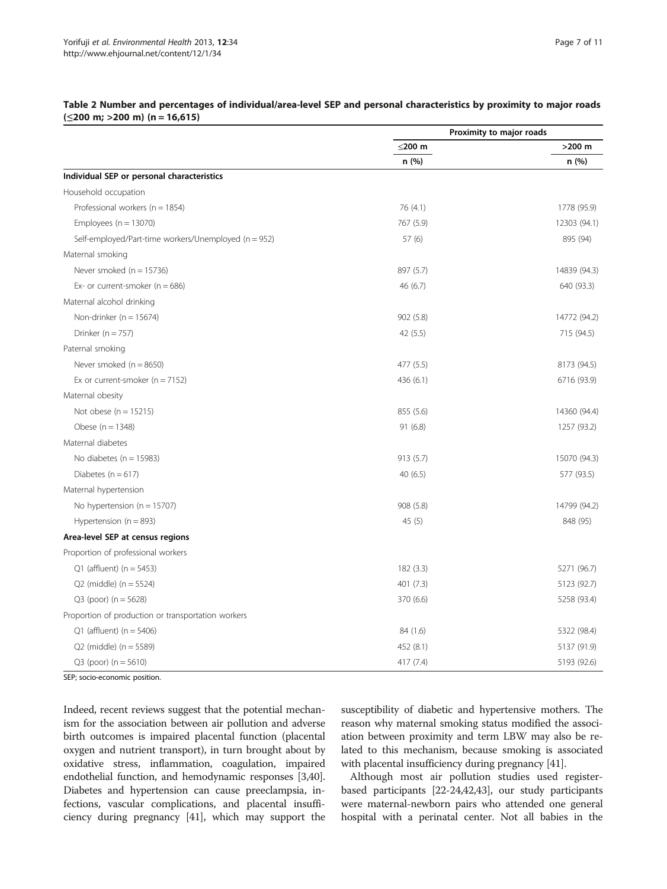|                                                      | Proximity to major roads |              |
|------------------------------------------------------|--------------------------|--------------|
|                                                      | ≤200 m                   | $>200$ m     |
|                                                      | n (%)                    | n(%)         |
| Individual SEP or personal characteristics           |                          |              |
| Household occupation                                 |                          |              |
| Professional workers ( $n = 1854$ )                  | 76 (4.1)                 | 1778 (95.9)  |
| Employees ( $n = 13070$ )                            | 767 (5.9)                | 12303 (94.1) |
| Self-employed/Part-time workers/Unemployed (n = 952) | 57(6)                    | 895 (94)     |
| Maternal smoking                                     |                          |              |
| Never smoked ( $n = 15736$ )                         | 897 (5.7)                | 14839 (94.3) |
| Ex- or current-smoker ( $n = 686$ )                  | 46 (6.7)                 | 640 (93.3)   |
| Maternal alcohol drinking                            |                          |              |
| Non-drinker ( $n = 15674$ )                          | 902 (5.8)                | 14772 (94.2) |
| Drinker ( $n = 757$ )                                | 42(5.5)                  | 715 (94.5)   |
| Paternal smoking                                     |                          |              |
| Never smoked $(n = 8650)$                            | 477 (5.5)                | 8173 (94.5)  |
| Ex or current-smoker ( $n = 7152$ )                  | 436 (6.1)                | 6716 (93.9)  |
| Maternal obesity                                     |                          |              |
| Not obese ( $n = 15215$ )                            | 855 (5.6)                | 14360 (94.4) |
| Obese $(n = 1348)$                                   | 91(6.8)                  | 1257 (93.2)  |
| Maternal diabetes                                    |                          |              |
| No diabetes ( $n = 15983$ )                          | 913 (5.7)                | 15070 (94.3) |
| Diabetes ( $n = 617$ )                               | 40(6.5)                  | 577 (93.5)   |
| Maternal hypertension                                |                          |              |
| No hypertension ( $n = 15707$ )                      | 908 (5.8)                | 14799 (94.2) |
| Hypertension ( $n = 893$ )                           | 45 $(5)$                 | 848 (95)     |
| Area-level SEP at census regions                     |                          |              |
| Proportion of professional workers                   |                          |              |
| $Q1$ (affluent) (n = 5453)                           | 182(3.3)                 | 5271 (96.7)  |
| $Q2$ (middle) (n = 5524)                             | 401 (7.3)                | 5123 (92.7)  |
| $Q3$ (poor) (n = 5628)                               | 370 (6.6)                | 5258 (93.4)  |
| Proportion of production or transportation workers   |                          |              |
| $Q1$ (affluent) (n = 5406)                           | 84 (1.6)                 | 5322 (98.4)  |
| $Q2$ (middle) (n = 5589)                             | 452 (8.1)                | 5137 (91.9)  |
| $Q3$ (poor) (n = 5610)                               | 417 (7.4)                | 5193 (92.6)  |

<span id="page-6-0"></span>

| Table 2 Number and percentages of individual/area-level SEP and personal characteristics by proximity to major roads |  |
|----------------------------------------------------------------------------------------------------------------------|--|
| $(\leq 200 \text{ m}; > 200 \text{ m})$ (n = 16,615)                                                                 |  |

SEP; socio-economic position.

Indeed, recent reviews suggest that the potential mechanism for the association between air pollution and adverse birth outcomes is impaired placental function (placental oxygen and nutrient transport), in turn brought about by oxidative stress, inflammation, coagulation, impaired endothelial function, and hemodynamic responses [[3,](#page-9-0)[40](#page-10-0)]. Diabetes and hypertension can cause preeclampsia, infections, vascular complications, and placental insufficiency during pregnancy [\[41\]](#page-10-0), which may support the susceptibility of diabetic and hypertensive mothers. The reason why maternal smoking status modified the association between proximity and term LBW may also be related to this mechanism, because smoking is associated with placental insufficiency during pregnancy [\[41\]](#page-10-0).

Although most air pollution studies used registerbased participants [[22-24,42,43\]](#page-10-0), our study participants were maternal-newborn pairs who attended one general hospital with a perinatal center. Not all babies in the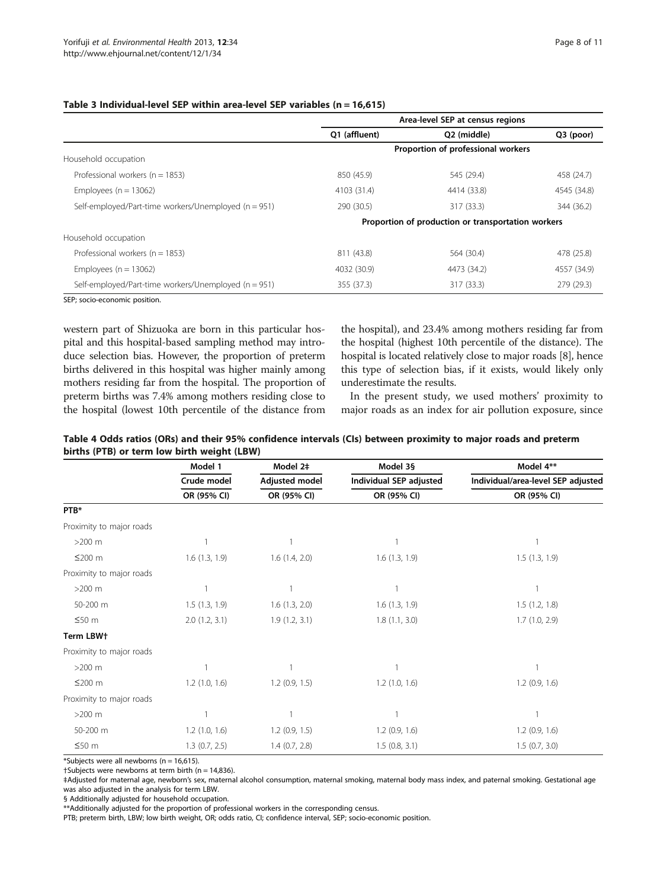|                                                      | Area-level SEP at census regions                   |                         |             |  |
|------------------------------------------------------|----------------------------------------------------|-------------------------|-------------|--|
|                                                      | O1 (affluent)                                      | O <sub>2</sub> (middle) | Q3 (poor)   |  |
|                                                      | Proportion of professional workers                 |                         |             |  |
| Household occupation                                 |                                                    |                         |             |  |
| Professional workers $(n = 1853)$                    | 850 (45.9)                                         | 545 (29.4)              | 458 (24.7)  |  |
| Employees ( $n = 13062$ )                            | 4103 (31.4)                                        | 4414 (33.8)             | 4545 (34.8) |  |
| Self-employed/Part-time workers/Unemployed (n = 951) | 290 (30.5)                                         | 317 (33.3)              | 344 (36.2)  |  |
|                                                      | Proportion of production or transportation workers |                         |             |  |
| Household occupation                                 |                                                    |                         |             |  |
| Professional workers $(n = 1853)$                    | 811 (43.8)                                         | 564 (30.4)              | 478 (25.8)  |  |
| Employees ( $n = 13062$ )                            | 4032 (30.9)                                        | 4473 (34.2)             | 4557 (34.9) |  |
| Self-employed/Part-time workers/Unemployed (n = 951) | 355 (37.3)                                         | 317 (33.3)              | 279 (29.3)  |  |

### <span id="page-7-0"></span>Table 3 Individual-level SEP within area-level SEP variables (n = 16,615)

SEP; socio-economic position.

western part of Shizuoka are born in this particular hospital and this hospital-based sampling method may introduce selection bias. However, the proportion of preterm births delivered in this hospital was higher mainly among mothers residing far from the hospital. The proportion of preterm births was 7.4% among mothers residing close to the hospital (lowest 10th percentile of the distance from

the hospital), and 23.4% among mothers residing far from the hospital (highest 10th percentile of the distance). The hospital is located relatively close to major roads [[8](#page-9-0)], hence this type of selection bias, if it exists, would likely only underestimate the results.

In the present study, we used mothers' proximity to major roads as an index for air pollution exposure, since

| Table 4 Odds ratios (ORs) and their 95% confidence intervals (CIs) between proximity to major roads and preterm |  |  |
|-----------------------------------------------------------------------------------------------------------------|--|--|
| births (PTB) or term low birth weight (LBW)                                                                     |  |  |

|                          | Model 1            | Model 2‡              | Model 3§                | Model 4**                          |
|--------------------------|--------------------|-----------------------|-------------------------|------------------------------------|
|                          | Crude model        | <b>Adjusted model</b> | Individual SEP adjusted | Individual/area-level SEP adjusted |
|                          | OR (95% CI)        | OR (95% CI)           | OR (95% CI)             | OR (95% CI)                        |
| PTB*                     |                    |                       |                         |                                    |
| Proximity to major roads |                    |                       |                         |                                    |
| $>200$ m                 |                    |                       |                         |                                    |
| $≤200$ m                 | 1.6(1.3, 1.9)      | 1.6(1.4, 2.0)         | 1.6(1.3, 1.9)           | 1.5(1.3, 1.9)                      |
| Proximity to major roads |                    |                       |                         |                                    |
| $>200$ m                 |                    |                       |                         |                                    |
| 50-200 m                 | 1.5(1.3, 1.9)      | $1.6$ $(1.3, 2.0)$    | 1.6(1.3, 1.9)           | 1.5(1.2, 1.8)                      |
| $50 \text{ m}$           | 2.0(1.2, 3.1)      | 1.9(1.2, 3.1)         | 1.8(1.1, 3.0)           | 1.7(1.0, 2.9)                      |
| Term LBW <sup>+</sup>    |                    |                       |                         |                                    |
| Proximity to major roads |                    |                       |                         |                                    |
| $>200$ m                 |                    |                       | $\overline{1}$          |                                    |
| $≤200$ m                 | $1.2$ $(1.0, 1.6)$ | $1.2$ (0.9, 1.5)      | 1.2(1.0, 1.6)           | $1.2$ (0.9, 1.6)                   |
| Proximity to major roads |                    |                       |                         |                                    |
| $>200$ m                 |                    | $\overline{1}$        | $\mathbf{1}$            |                                    |
| 50-200 m                 | $1.2$ $(1.0, 1.6)$ | $1.2$ (0.9, 1.5)      | $1.2$ (0.9, 1.6)        | $1.2$ (0.9, 1.6)                   |
| $≤50$ m                  | 1.3(0.7, 2.5)      | 1.4(0.7, 2.8)         | 1.5(0.8, 3.1)           | 1.5(0.7, 3.0)                      |

\*Subjects were all newborns (n = 16,615).

†Subjects were newborns at term birth (n = 14,836).

‡Adjusted for maternal age, newborn's sex, maternal alcohol consumption, maternal smoking, maternal body mass index, and paternal smoking. Gestational age was also adjusted in the analysis for term LBW.

§ Additionally adjusted for household occupation.

\*\*Additionally adjusted for the proportion of professional workers in the corresponding census.

PTB; preterm birth, LBW; low birth weight, OR; odds ratio, CI; confidence interval, SEP; socio-economic position.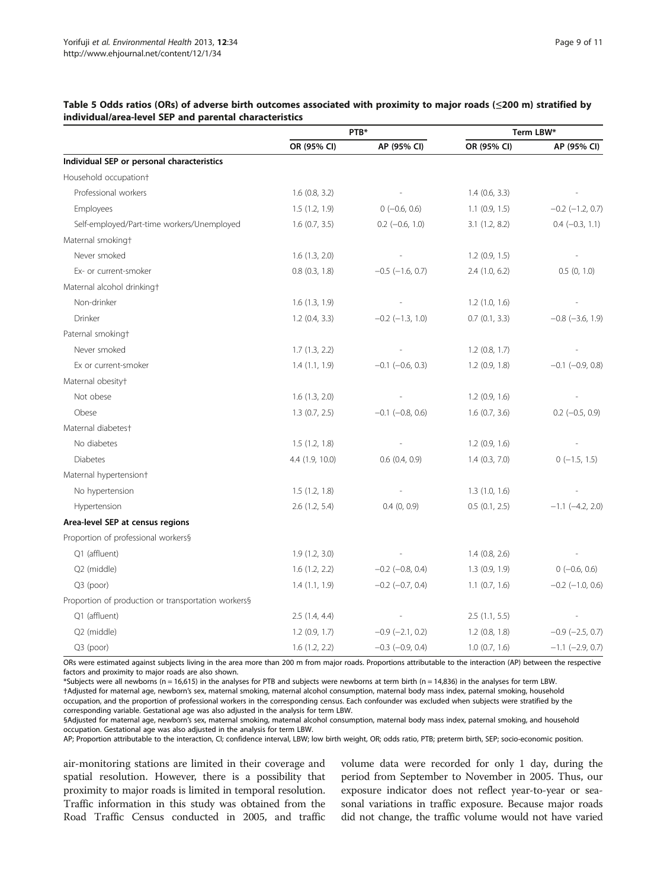|                                                     | PTB*               |                        | Term LBW*          |                        |
|-----------------------------------------------------|--------------------|------------------------|--------------------|------------------------|
|                                                     | OR (95% CI)        | AP (95% CI)            | OR (95% CI)        | AP (95% CI)            |
| Individual SEP or personal characteristics          |                    |                        |                    |                        |
| Household occupationt                               |                    |                        |                    |                        |
| Professional workers                                | $1.6$ (0.8, 3.2)   |                        | 1.4(0.6, 3.3)      |                        |
| Employees                                           | 1.5(1.2, 1.9)      | $0(-0.6, 0.6)$         | $1.1$ (0.9, 1.5)   | $-0.2$ $(-1.2, 0.7)$   |
| Self-employed/Part-time workers/Unemployed          | 1.6(0.7, 3.5)      | $0.2$ (-0.6, 1.0)      | 3.1(1.2, 8.2)      | $0.4 (-0.3, 1.1)$      |
| Maternal smokingt                                   |                    |                        |                    |                        |
| Never smoked                                        | 1.6(1.3, 2.0)      |                        | $1.2$ (0.9, 1.5)   |                        |
| Ex- or current-smoker                               | $0.8$ $(0.3, 1.8)$ | $-0.5$ $(-1.6, 0.7)$   | 2.4(1.0, 6.2)      | 0.5(0, 1.0)            |
| Maternal alcohol drinkingt                          |                    |                        |                    |                        |
| Non-drinker                                         | 1.6(1.3, 1.9)      |                        | 1.2(1.0, 1.6)      |                        |
| Drinker                                             | $1.2$ (0.4, 3.3)   | $-0.2$ ( $-1.3$ , 1.0) | $0.7$ $(0.1, 3.3)$ | $-0.8$ $(-3.6, 1.9)$   |
| Paternal smokingt                                   |                    |                        |                    |                        |
| Never smoked                                        | 1.7(1.3, 2.2)      |                        | $1.2$ (0.8, 1.7)   |                        |
| Ex or current-smoker                                | 1.4(1.1, 1.9)      | $-0.1$ $(-0.6, 0.3)$   | $1.2$ (0.9, 1.8)   | $-0.1$ $(-0.9, 0.8)$   |
| Maternal obesityt                                   |                    |                        |                    |                        |
| Not obese                                           | $1.6$ $(1.3, 2.0)$ |                        | $1.2$ (0.9, 1.6)   |                        |
| Obese                                               | 1.3(0.7, 2.5)      | $-0.1$ $(-0.8, 0.6)$   | 1.6(0.7, 3.6)      | $0.2$ (-0.5, 0.9)      |
| Maternal diabetest                                  |                    |                        |                    |                        |
| No diabetes                                         | 1.5(1.2, 1.8)      |                        | $1.2$ (0.9, 1.6)   |                        |
| Diabetes                                            | 4.4 (1.9, 10.0)    | $0.6$ $(0.4, 0.9)$     | $1.4$ (0.3, 7.0)   | $0$ (-1.5, 1.5)        |
| Maternal hypertension+                              |                    |                        |                    |                        |
| No hypertension                                     | 1.5(1.2, 1.8)      |                        | 1.3(1.0, 1.6)      |                        |
| Hypertension                                        | $2.6$ (1.2, 5.4)   | 0.4(0, 0.9)            | 0.5(0.1, 2.5)      | $-1.1$ $(-4.2, 2.0)$   |
| Area-level SEP at census regions                    |                    |                        |                    |                        |
| Proportion of professional workers§                 |                    |                        |                    |                        |
| Q1 (affluent)                                       | 1.9(1.2, 3.0)      |                        | $1.4$ (0.8, 2.6)   |                        |
| Q2 (middle)                                         | 1.6(1.2, 2.2)      | $-0.2$ ( $-0.8$ , 0.4) | $1.3$ (0.9, 1.9)   | $0 (-0.6, 0.6)$        |
| $Q3$ (poor)                                         | 1.4(1.1, 1.9)      | $-0.2$ ( $-0.7$ , 0.4) | $1.1$ (0.7, 1.6)   | $-0.2$ ( $-1.0$ , 0.6) |
| Proportion of production or transportation workers§ |                    |                        |                    |                        |
| Q1 (affluent)                                       | 2.5(1.4, 4.4)      |                        | 2.5(1.1, 5.5)      |                        |
| Q2 (middle)                                         | $1.2$ (0.9, 1.7)   | $-0.9$ ( $-2.1$ , 0.2) | $1.2$ (0.8, 1.8)   | $-0.9$ ( $-2.5$ , 0.7) |
| Q3 (poor)                                           | 1.6(1.2, 2.2)      | $-0.3$ $(-0.9, 0.4)$   | $1.0$ (0.7, 1.6)   | $-1.1$ $(-2.9, 0.7)$   |

### <span id="page-8-0"></span>Table 5 Odds ratios (ORs) of adverse birth outcomes associated with proximity to major roads (≤200 m) stratified by individual/area-level SEP and parental characteristics

ORs were estimated against subjects living in the area more than 200 m from major roads. Proportions attributable to the interaction (AP) between the respective factors and proximity to major roads are also shown.

\*Subjects were all newborns (n = 16,615) in the analyses for PTB and subjects were newborns at term birth (n = 14,836) in the analyses for term LBW. †Adjusted for maternal age, newborn's sex, maternal smoking, maternal alcohol consumption, maternal body mass index, paternal smoking, household occupation, and the proportion of professional workers in the corresponding census. Each confounder was excluded when subjects were stratified by the corresponding variable. Gestational age was also adjusted in the analysis for term LBW.

§Adjusted for maternal age, newborn's sex, maternal smoking, maternal alcohol consumption, maternal body mass index, paternal smoking, and household occupation. Gestational age was also adjusted in the analysis for term LBW.

AP; Proportion attributable to the interaction, CI; confidence interval, LBW; low birth weight, OR; odds ratio, PTB; preterm birth, SEP; socio-economic position.

air-monitoring stations are limited in their coverage and spatial resolution. However, there is a possibility that proximity to major roads is limited in temporal resolution. Traffic information in this study was obtained from the Road Traffic Census conducted in 2005, and traffic volume data were recorded for only 1 day, during the period from September to November in 2005. Thus, our exposure indicator does not reflect year-to-year or seasonal variations in traffic exposure. Because major roads did not change, the traffic volume would not have varied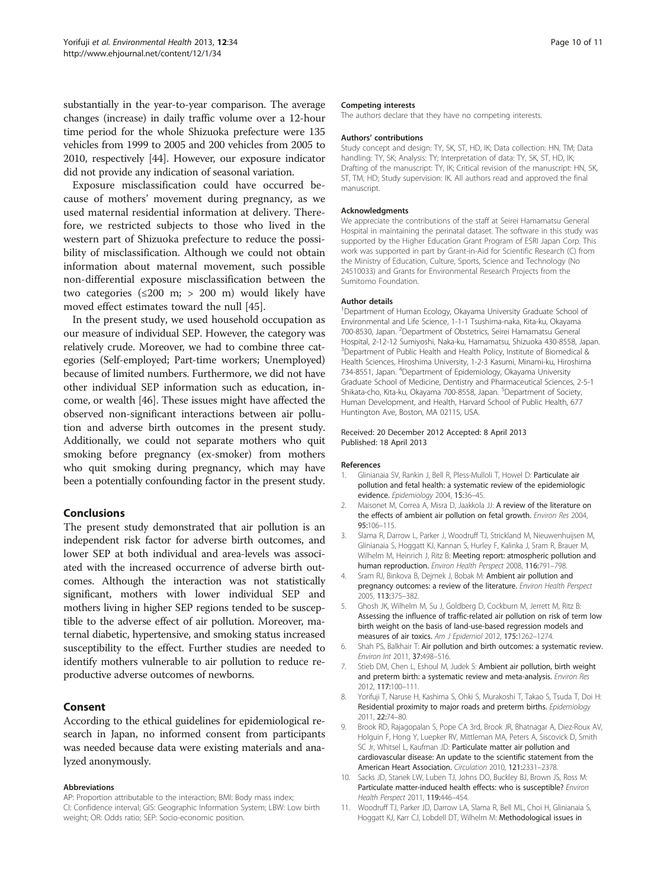<span id="page-9-0"></span>substantially in the year-to-year comparison. The average changes (increase) in daily traffic volume over a 12-hour time period for the whole Shizuoka prefecture were 135 vehicles from 1999 to 2005 and 200 vehicles from 2005 to 2010, respectively [\[44\]](#page-10-0). However, our exposure indicator did not provide any indication of seasonal variation.

Exposure misclassification could have occurred because of mothers' movement during pregnancy, as we used maternal residential information at delivery. Therefore, we restricted subjects to those who lived in the western part of Shizuoka prefecture to reduce the possibility of misclassification. Although we could not obtain information about maternal movement, such possible non-differential exposure misclassification between the two categories  $(\leq 200 \text{ m}; > 200 \text{ m})$  would likely have moved effect estimates toward the null [\[45\]](#page-10-0).

In the present study, we used household occupation as our measure of individual SEP. However, the category was relatively crude. Moreover, we had to combine three categories (Self-employed; Part-time workers; Unemployed) because of limited numbers. Furthermore, we did not have other individual SEP information such as education, income, or wealth [[46](#page-10-0)]. These issues might have affected the observed non-significant interactions between air pollution and adverse birth outcomes in the present study. Additionally, we could not separate mothers who quit smoking before pregnancy (ex-smoker) from mothers who quit smoking during pregnancy, which may have been a potentially confounding factor in the present study.

#### Conclusions

The present study demonstrated that air pollution is an independent risk factor for adverse birth outcomes, and lower SEP at both individual and area-levels was associated with the increased occurrence of adverse birth outcomes. Although the interaction was not statistically significant, mothers with lower individual SEP and mothers living in higher SEP regions tended to be susceptible to the adverse effect of air pollution. Moreover, maternal diabetic, hypertensive, and smoking status increased susceptibility to the effect. Further studies are needed to identify mothers vulnerable to air pollution to reduce reproductive adverse outcomes of newborns.

#### Consent

According to the ethical guidelines for epidemiological research in Japan, no informed consent from participants was needed because data were existing materials and analyzed anonymously.

#### Abbreviations

AP: Proportion attributable to the interaction; BMI: Body mass index; CI: Confidence interval; GIS: Geographic Information System; LBW: Low birth weight; OR: Odds ratio; SEP: Socio-economic position.

#### Competing interests

The authors declare that they have no competing interests.

#### Authors' contributions

Study concept and design: TY, SK, ST, HD, IK; Data collection: HN, TM; Data handling: TY, SK; Analysis: TY; Interpretation of data: TY, SK, ST, HD, IK; Drafting of the manuscript: TY, IK; Critical revision of the manuscript: HN, SK, ST, TM, HD; Study supervision: IK. All authors read and approved the final manuscript.

#### **Acknowledaments**

We appreciate the contributions of the staff at Seirei Hamamatsu General Hospital in maintaining the perinatal dataset. The software in this study was supported by the Higher Education Grant Program of ESRI Japan Corp. This work was supported in part by Grant-in-Aid for Scientific Research (C) from the Ministry of Education, Culture, Sports, Science and Technology (No 24510033) and Grants for Environmental Research Projects from the Sumitomo Foundation.

#### Author details

<sup>1</sup>Department of Human Ecology, Okayama University Graduate School of Environmental and Life Science, 1-1-1 Tsushima-naka, Kita-ku, Okayama 700-8530, Japan. <sup>2</sup> Department of Obstetrics, Seirei Hamamatsu General Hospital, 2-12-12 Sumiyoshi, Naka-ku, Hamamatsu, Shizuoka 430-8558, Japan. <sup>3</sup> Department of Public Health and Health Policy, Institute of Biomedical & Health Sciences, Hiroshima University, 1-2-3 Kasumi, Minami-ku, Hiroshima 734-8551, Japan. <sup>4</sup> Department of Epidemiology, Okayama University Graduate School of Medicine, Dentistry and Pharmaceutical Sciences, 2-5-1 Shikata-cho, Kita-ku, Okayama 700-8558, Japan. <sup>5</sup>Department of Society, Human Development, and Health, Harvard School of Public Health, 677 Huntington Ave, Boston, MA 02115, USA.

#### Received: 20 December 2012 Accepted: 8 April 2013 Published: 18 April 2013

#### References

- 1. Glinianaia SV, Rankin J, Bell R, Pless-Mulloli T, Howel D: Particulate air pollution and fetal health: a systematic review of the epidemiologic evidence. Epidemiology 2004, 15:36–45.
- 2. Maisonet M, Correa A, Misra D, Jaakkola JJ: A review of the literature on the effects of ambient air pollution on fetal growth. Environ Res 2004, 95:106–115.
- 3. Slama R, Darrow L, Parker J, Woodruff TJ, Strickland M, Nieuwenhuijsen M, Glinianaia S, Hoggatt KJ, Kannan S, Hurley F, Kalinka J, Sram R, Brauer M, Wilhelm M, Heinrich J, Ritz B: Meeting report: atmospheric pollution and human reproduction. Environ Health Perspect 2008, 116:791–798.
- 4. Sram RJ, Binkova B, Dejmek J, Bobak M: Ambient air pollution and pregnancy outcomes: a review of the literature. Environ Health Perspect 2005, 113:375–382.
- 5. Ghosh JK, Wilhelm M, Su J, Goldberg D, Cockburn M, Jerrett M, Ritz B: Assessing the influence of traffic-related air pollution on risk of term low birth weight on the basis of land-use-based regression models and measures of air toxics. Am J Epidemiol 2012, 175:1262–1274.
- 6. Shah PS, Balkhair T: Air pollution and birth outcomes: a systematic review. Environ Int 2011, 37:498–516.
- 7. Stieb DM, Chen L, Eshoul M, Judek S: Ambient air pollution, birth weight and preterm birth: a systematic review and meta-analysis. Environ Res 2012, 117:100–111.
- 8. Yorifuji T, Naruse H, Kashima S, Ohki S, Murakoshi T, Takao S, Tsuda T, Doi H: Residential proximity to major roads and preterm births. Epidemiology 2011, 22:74–80.
- 9. Brook RD, Rajagopalan S, Pope CA 3rd, Brook JR, Bhatnagar A, Diez-Roux AV, Holguin F, Hong Y, Luepker RV, Mittleman MA, Peters A, Siscovick D, Smith SC Jr, Whitsel L, Kaufman JD: Particulate matter air pollution and cardiovascular disease: An update to the scientific statement from the American Heart Association. Circulation 2010, 121:2331–2378.
- 10. Sacks JD, Stanek LW, Luben TJ, Johns DO, Buckley BJ, Brown JS, Ross M: Particulate matter-induced health effects: who is susceptible? Environ Health Perspect 2011, 119:446–454.
- 11. Woodruff TJ, Parker JD, Darrow LA, Slama R, Bell ML, Choi H, Glinianaia S, Hoggatt KJ, Karr CJ, Lobdell DT, Wilhelm M: Methodological issues in